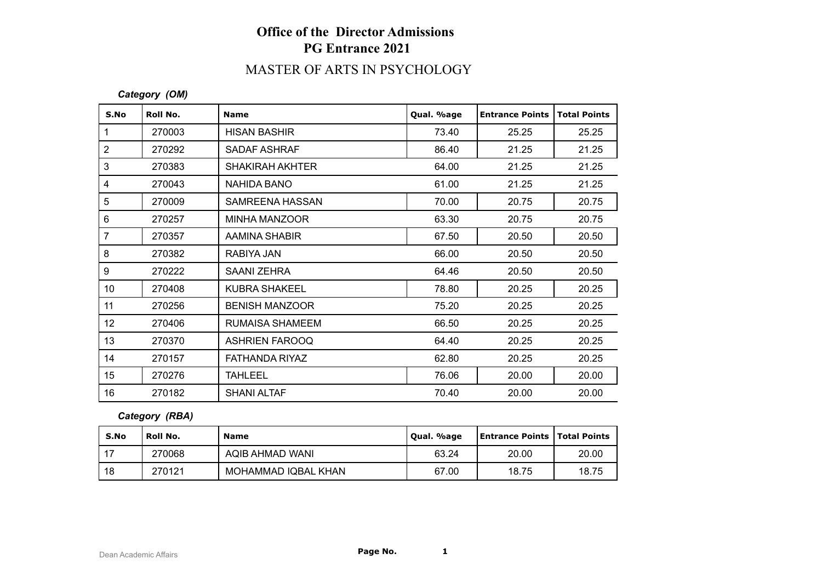## **Office of the Director Admissions PG Entrance 2021**

# MASTER OF ARTS IN PSYCHOLOGY

#### *Category (OM)*

| S.No            | Roll No. | <b>Name</b>            | Qual. %age | <b>Entrance Points</b> | <b>Total Points</b> |
|-----------------|----------|------------------------|------------|------------------------|---------------------|
| 1               | 270003   | <b>HISAN BASHIR</b>    | 73.40      | 25.25                  | 25.25               |
| $\overline{2}$  | 270292   | <b>SADAF ASHRAF</b>    | 86.40      | 21.25                  | 21.25               |
| 3               | 270383   | <b>SHAKIRAH AKHTER</b> | 64.00      | 21.25                  | 21.25               |
| 4               | 270043   | <b>NAHIDA BANO</b>     | 61.00      | 21.25                  | 21.25               |
| 5               | 270009   | SAMREENA HASSAN        | 70.00      | 20.75                  | 20.75               |
| 6               | 270257   | MINHA MANZOOR          | 63.30      | 20.75                  | 20.75               |
| $\overline{7}$  | 270357   | AAMINA SHABIR          | 67.50      | 20.50                  | 20.50               |
| 8               | 270382   | RABIYA JAN             | 66.00      | 20.50                  | 20.50               |
| 9               | 270222   | SAANI ZEHRA            | 64.46      | 20.50                  | 20.50               |
| 10 <sup>°</sup> | 270408   | <b>KUBRA SHAKEEL</b>   | 78.80      | 20.25                  | 20.25               |
| 11              | 270256   | <b>BENISH MANZOOR</b>  | 75.20      | 20.25                  | 20.25               |
| 12              | 270406   | RUMAISA SHAMEEM        | 66.50      | 20.25                  | 20.25               |
| 13              | 270370   | <b>ASHRIEN FAROOQ</b>  | 64.40      | 20.25                  | 20.25               |
| 14              | 270157   | <b>FATHANDA RIYAZ</b>  | 62.80      | 20.25                  | 20.25               |
| 15              | 270276   | <b>TAHLEEL</b>         | 76.06      | 20.00                  | 20.00               |
| 16              | 270182   | <b>SHANI ALTAF</b>     | 70.40      | 20.00                  | 20.00               |

### *Category (RBA)*

| S.No | Roll No. | Name                | Qual. %age | Entrance Points   Total Points |       |
|------|----------|---------------------|------------|--------------------------------|-------|
| 17   | 270068   | AQIB AHMAD WANI     | 63.24      | 20.00                          | 20.00 |
| 18   | 270121   | MOHAMMAD IQBAL KHAN | 67.00      | 18.75                          | 18.75 |